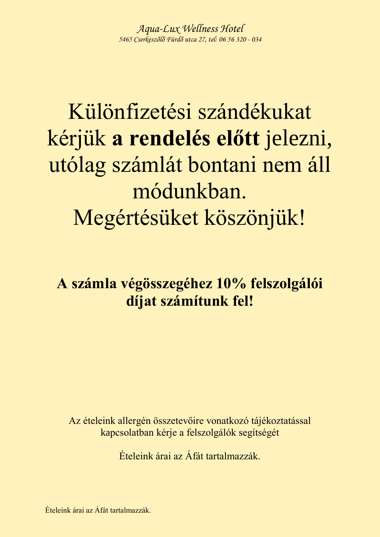# Különfizetési szándékukat kérjük **a rendelés előtt** jelezni, utólag számlát bontani nem áll módunkban. Megértésüket köszönjük!

## **A számla végösszegéhez 10% felszolgálói díjat számítunk fel!**

Az ételeink allergén összetevőire vonatkozó tájékoztatással kapcsolatban kérje a felszolgálók segítségét

Ételeink árai az Áfát tartalmazzák.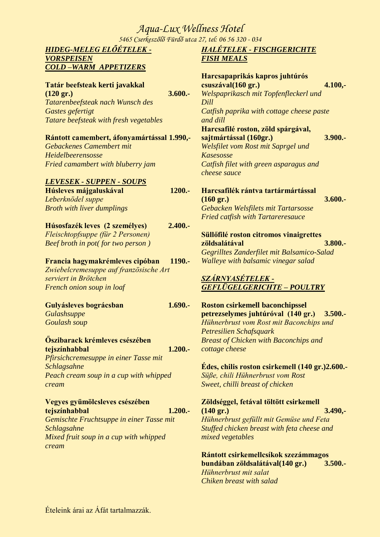*5465 Cserkeszőlő Fürdő utca 27, tel: 06 56 320 - 034*

#### *HIDEG-MELEG ELŐÉTELEK - VORSPEISEN COLD –WARM APPETIZERS*

#### **Tatár beefsteak kerti javakkal (120 gr.) 3.600.-** *Tatarenbeefsteak nach Wunsch des Gastes gefertigt Tatare beefsteak with fresh vegetables*

### **Rántott camembert, áfonyamártással 1.990,-**

*Gebackenes Camembert mit Heidelbeerensosse Fried camambert with bluberry jam*

#### *LEVESEK - SUPPEN - SOUPS*

| Húsleves májgaluskával            | 1200.- |
|-----------------------------------|--------|
| Leberknödel suppe                 |        |
| <b>Broth with liver dumplings</b> |        |

#### **Húsosfazék leves (2 személyes) 2.400.-** *Fleischtopfsuppe (für 2 Personen) Beef broth in pot( for two person )*

#### **Francia hagymakrémleves cipóban 1190.-**

*Zwiebelcremesuppe auf französische Art serviert in Brötchen French onion soup in loaf*

### **Gulyásleves bográcsban 1.690.-** *Gulashsuppe*

*Goulash soup* 

### **Őszibarack krémleves csészében tejszínhabbal 1.200.-** *Pfirsichcremesuppe in einer Tasse mit Schlagsahne*

*Peach cream soup in a cup with whipped cream*

#### **Vegyes gyümölcsleves csészében tejszínhabbal 1.200.-**

*Gemischte Fruchtsuppe in einer Tasse mit Schlagsahne Mixed fruit soup in a cup with whipped cream*

### *HALÉTELEK - FISCHGERICHTE FISH MEALS*

| Harcsapaprikás kapros juhtúrós<br>csuszával(160 gr.)<br>$4.100, -$<br>Welspaprikasch mit Topfenfleckerl und |
|-------------------------------------------------------------------------------------------------------------|
| Dill                                                                                                        |
| Catfish paprika with cottage cheese paste<br>and dill                                                       |
| Harcsafilé roston, zöld spárgával,                                                                          |
| $3.900 -$<br>sajtmártással (160gr.)                                                                         |
| Welsfilet vom Rost mit Saprgel und                                                                          |
| Kasesosse                                                                                                   |
| Catfish filet with green asparagus and                                                                      |
| cheese sauce                                                                                                |
| Harcsafilék rántva tartármártással                                                                          |
| $3.600 -$<br>$(160 \text{ gr.})$                                                                            |
| Gebacken Welsfilets mit Tartarsosse                                                                         |
| <b>Fried catfish with Tartareresauce</b>                                                                    |
| Süllőfilé roston citromos vinaigrettes                                                                      |
| $3.800 -$<br>zöldsalátával                                                                                  |
| Gegrilltes Zanderfilet mit Balsamico-Salad                                                                  |
| Walleye with balsamic vinegar salad                                                                         |
| SZÁRNYASÉTELEK -                                                                                            |

#### *SZÁRNYASÉTELEK - GEFLÜGELGERICHTE – POULTRY*

#### **Roston csirkemell baconchipssel petrezselymes juhtúróval (140 gr.) 3.500.-** *Hühnerbrust vom Rost mit Baconchips und Petresilien Schafsquark Breast of Chicken with Baconchips and cottage cheese*

#### **Édes, chilis roston csirkemell (140 gr.)2.600.-** *Süße, chili Hühnerbrust vom Rost Sweet, chilli breast of chicken*

### **Zöldséggel, fetával töltött csirkemell (140 gr.) 3.490,-** *Hühnerbrust gefüllt mit Gemüse und Feta*

*Stuffed chicken breast with feta cheese and mixed vegetables*

**Rántott csirkemellcsíkok szezámmagos bundában zöldsalátával(140 gr.) 3.500.-** *Hühnerbrust mit salat Chiken breast with salad*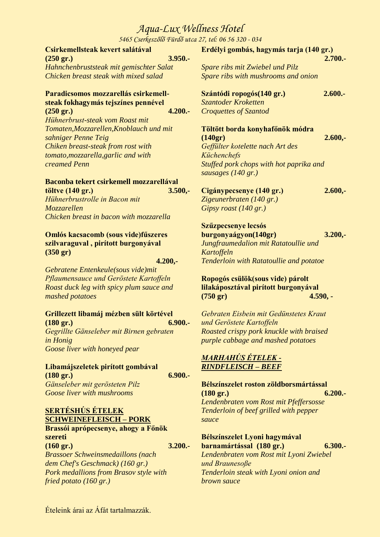*5465 Cserkeszőlő Fürdő utca 27, tel: 06 56 320 - 034*

| Csirkemellsteak kevert salátával        | Erdélyi gombás, hagymás tarja (140 gr.) |           |
|-----------------------------------------|-----------------------------------------|-----------|
| $3.950 -$<br>$(250 \text{ gr.})$        |                                         | $2.700 -$ |
| Hahnchenbruststeak mit gemischter Salat | Spare ribs mit Zwiebel und Pilz         |           |
| Chicken breast steak with mixed salad   | Spare ribs with mushrooms and onion     |           |
| Paradicsomos mozzarellás csirkemell-    | Szántódi ropogós (140 gr.)              | $2.600 -$ |
| steak fokhagymás tejszínes pennével     | Szantoder Kroketten                     |           |
| $4.200 -$<br>$(250 \text{ gr.})$        | <b>Croquettes of Szantod</b>            |           |
| Hühnerbrust-steak vom Roast mit         |                                         |           |
| Tomaten, Mozzarellen, Knoblauch und mit | Töltött borda konyhafőnök módra         |           |
| sahniger Penne Teig                     | (140gr)                                 | $2.600 -$ |
| Chiken breast-steak from rost with      | Geffülter kotelette nach Art des        |           |

*Geffülter kotelette nach Art des Küchenchefs Stuffed pork chops with hot paprika and sausages (140 gr.)*

| Cigánypecsenye (140 gr.)        | 2.600, |
|---------------------------------|--------|
| Zigewner braten (140 gr.)       |        |
| Gipsy roast $(140 \text{ gr.})$ |        |

**Szűzpecsenye lecsós burgonyaágyon(140gr) 3.200,-** *Jungfraumedalion mit Ratatoullie und Kartoffeln Tenderloin with Ratatoullie and potatoe*

**Ropogós csülök(sous vide) párolt lilakáposztával pirított burgonyával (750 gr) 4.590, -** 

*Gebraten Eisbein mit Gedünstetes Kraut und Geröstete Kartoffeln Roasted crispy pork knuckle with braised purple cabbage and mashed potatoes*

### *MARHAHÚS ÉTELEK - RINDFLEISCH – BEEF*

**Bélszínszelet roston zöldborsmártással (180 gr.) 6.200.-** *Lendenbraten vom Rost mit Pfeffersosse Tenderloin of beef grilled with pepper sauce*

**Bélszínszelet Lyoni hagymával barnamártással (180 gr.) 6.300.-** *Lendenbraten vom Rost mit Lyoni Zwiebel und Braunesoße Tenderloin steak with Lyoni onion and brown sauce*

**Omlós kacsacomb (sous vide)fűszeres szilvaraguval , pirított burgonyával (350 gr)** 

*Chicken breast in bacon with mozzarella*

**Baconba tekert csirkemell mozzarellával töltve (140 gr.) 3.500,-**

*tomato,mozzarella,garlic and with* 

*Hühnerbrustrolle in Bacon mit* 

*creamed Penn* 

*Mozzarellen*

 **4.200,-** 

*Gebratene Entenkeule(sous vide)mit Pflaumensauce und Geröstete Kartoffeln Roast duck leg with spicy plum sauce and mashed potatoes*

### **Grillezett libamáj mézben sült körtével**

**(180 gr.) 6.900.-** *Gegrillte Gänseleber mit Birnen gebraten in Honig Goose liver with honeyed pear* 

#### **Libamájszeletek pirított gombával (180 gr.) 6.900.-**

*Gänseleber mit gerösteten Pilz Goose liver with mushrooms* 

### **SERTÉSHÚS ÉTELEK SCHWEINEFLEISCH – PORK**

#### **Brassói aprópecsenye, ahogy a Főnök szereti (160 gr.) 3.200.-**

*Brassoer Schweinsmedaillons (nach dem Chef's Geschmack) (160 gr.) Pork medallions from Brasov style with fried potato (160 gr.)*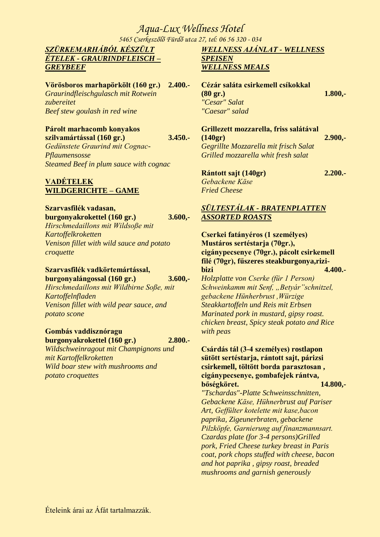*5465 Cserkeszőlő Fürdő utca 27, tel: 06 56 320 - 034*

### *SZÜRKEMARHÁBÓL KÉSZÜLT ÉTELEK - GRAURINDFLEISCH – GREYBEEF*

**Vörösboros marhapörkölt (160 gr.) 2.400.-** *Graurindfleischgulasch mit Rotwein zubereitet Beef stew goulash in red wine*

#### **Párolt marhacomb konyakos szilvamártással (160 gr.) 3.450.-**

*Gedünstete Graurind mit Cognac-Pflaumensosse Steamed Beef in plum sauce with cognac*

### **VADÉTELEK WILDGERICHTE – GAME**

#### **Szarvasfilék vadasan, burgonyakrokettel (160 gr.) 3.600,-** *Hirschmedaillons mit Wildsoße mit Kartoffelkroketten*

*Venison fillet with wild sauce and potato croquette*

### **Szarvasfilék vadkörtemártással, burgonyalángossal (160 gr.) 3.600,-**

*Hirschmedaillons mit Wildbirne Soße, mit Kartoffelnfladen Venison fillet with wild pear sauce, and potato scone*

#### **Gombás vaddisznóragu burgonyakrokettel (160 gr.) 2.800.-**

*Wildschweinragout mit Champignons und mit Kartoffelkroketten Wild boar stew with mushrooms and potato croquettes*

### *WELLNESS AJÁNLAT - WELLNESS SPEISEN WELLNESS MEALS*

| Cézár saláta csirkemell csíkokkal |           |
|-----------------------------------|-----------|
| $(80 \text{ gr.})$                | $1.800 -$ |
| "Cesar" Salat                     |           |
| "Caesar" salad                    |           |

### **Grillezett mozzarella, friss salátával (140gr) 2.900,-** *Gegrillte Mozzarella mit frisch Salat*

*Grilled mozzarella whit fresh salat* **Rántott sajt (140gr) 2.200.-**

*Gebackene Käse Fried Cheese*

### *SÜLTESTÁLAK - BRATENPLATTEN ASSORTED ROASTS*

**Cserkei fatányéros (1 személyes) Mustáros sertéstarja (70gr.), cigánypecsenye (70gr.), pácolt csirkemell filé (70gr), fűszeres steakburgonya,rizibizi 4.400.-** *Holzplatte von Cserke (für 1 Person) Schweinkamm mit Senf, "Betyár"schnitzel, gebackene Hünherbrust ,Würzige* 

*Steakkartoffeln und Reis mit Erbsen Marinated pork in mustard, gipsy roast. chicken breast, Spicy steak potato and Rice with peas*

#### **Csárdás tál (3-4 személyes) rostlapon sütött sertéstarja, rántott sajt, párizsi csirkemell, töltött borda parasztosan , cigánypecsenye, gombafejek rántva, bőségköret. 14.800,-**

*"Tschardas"-Platte Schweinsschnitten, Gebackene Käse, Hühnerbrust auf Pariser Art, Geffülter kotelette mit kase,bacon paprika, Zigeunerbraten, gebackene Pilzköpfe, Garnierung auf finanzmannsart. Czardas plate (for 3-4 persons)Grilled pork, Fried Cheese turkey breast in Paris coat, pork chops stuffed with cheese, bacon and hot paprika , gipsy roast, breaded mushrooms and garnish generously*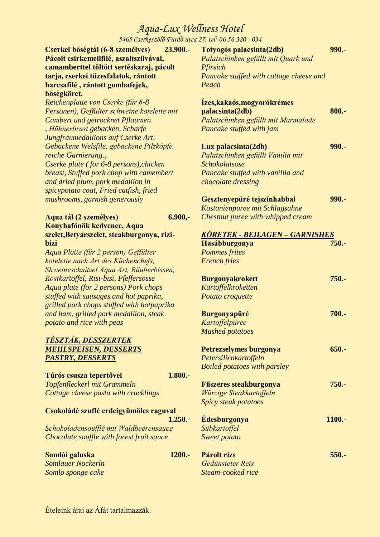*5465 Cserkeszőlő Fürdő utca 27, tel: 06 56 320 - 034*

**Cserkei bőségtál (6-8 személyes) 23.900.- Pácolt csirkemellfilé, aszaltszilvával, camamberttel töltött sertéskaraj, pácolt tarja, cserkei tüzesfalatok, rántott harcsafilé , rántott gombafejek, bőségköret.**

*Reichenplatte von Cserke (für 6-8 Personen), Geffülter schweine kotelette mit Cambert und getrocknet Pflaumen , Hühnerbrust gebacken, Scharfe Jungfraumedallions auf Cserke Art, Gebackene Welsfile, gebackene Pilzköpfe, reiche Garnierung., Cserke plate ( for 6-8 persons),chicken breast, Stuffed pork chop with camembert and dried plum, pork medallion in spicypotato coat, Fried catfish, fried mushrooms, garnish generously* 

| Aqua tál (2 személyes)                     | $6.900 -$ |
|--------------------------------------------|-----------|
| Konyhafőnök kedvence, Aqua                 |           |
| szelet, Betyárszelet, steakburgonya, rizi- |           |
| <b>bizi</b>                                |           |

*Aqua Platte (für 2 person) Geffülter kotelette nach Art des Küchenchefs, Shweineschnitzel Aqua Art, Räuberbissen, Röstkartoffel, Risi-bisi, Pfeffersosse Aqua plate (for 2 persons) Pork chops stuffed with sausages and hot paprika, grilled pork chops stuffed with hotpaprika and ham, grilled pork medallion, steak potato and rice with peas*

### *TÉSZTÁK, DESSZERTEK MEHLSPEISEN, DESSERTS PASTRY, DESSERTS*

| Túrós csusza tepertővel              |  |
|--------------------------------------|--|
| Topfenfleckerl mit Grammeln          |  |
| Cottage cheese pasta with cracklings |  |

#### **Csokoládé szuflé erdeigyümölcs raguval**

**1.250.-** *Schokoladensoufflé mit Waldbeerensauce Chocolate souffle with forest fruit sauce*

**Somlói galuska 1200.-** *Somlauer Nockerln Somlo sponge cake*

**Totyogós palacsinta(2db) 990.-** *Palatschinken gefüllt mit Quark und Pfirsich Pancake stuffed with cottage cheese and Peach*

#### **Ízes,kakaós,mogyorókrémes palacsinta(2db) 800.-***Palatschinken gefüllt mit Marmalade Pancake stuffed with jam*

| Lux palacsinta(2db)               | 990. - |
|-----------------------------------|--------|
| Palatschinken gefüllt Vanilia mit |        |
| <b>Schokolatsose</b>              |        |
| Pancake stuffed with vanillia and |        |
| chocolate dressing                |        |
|                                   |        |

| Gesztenyepüré tejszínhabbal       | 990.- |
|-----------------------------------|-------|
| Kastanienpuree mit Schlagsahne    |       |
| Chestnut puree with whipped cream |       |

| KÖRETEK - BEILAGEN – GARNISHES      |  |
|-------------------------------------|--|
| 750.-<br>Hasábburgonya              |  |
| <b>Pommes frites</b>                |  |
| <b>French fries</b>                 |  |
| $750. -$<br><b>Burgonyakrokett</b>  |  |
| Kartoffelkroketten                  |  |
| Potato croquette                    |  |
| 700.-<br><b>Burgonyapüré</b>        |  |
| Kartoffelpüree                      |  |
| <b>Mashed potatoes</b>              |  |
| $650 -$<br>Petrezselymes burgonya   |  |
| Petersilienkartoffeln               |  |
| <b>Boiled potatoes with parsley</b> |  |
| 750.-<br>Fűszeres steakburgonya     |  |
| Würzige Steakkartoffeln             |  |
| Spicy steak potatoes                |  |
| <b>Édesburgonya</b><br>1100.-       |  |
| Sübkartoffel                        |  |
| Sweet potato                        |  |
| Párolt rizs<br>$550 -$              |  |
| Gedünsteter Reis                    |  |

*Steam-cooked rice*

**1.800.-**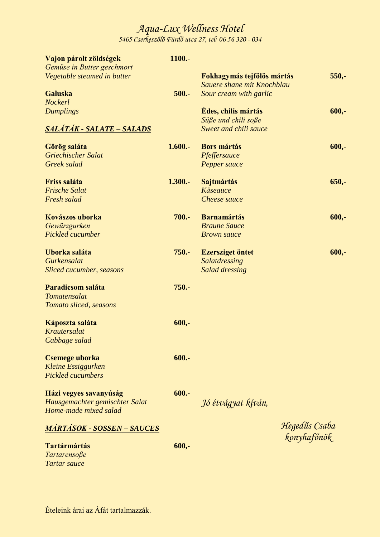*5465 Cserkeszőlő Fürdő utca 27, tel: 06 56 320 - 034*

| Vajon párolt zöldségek             | 1100.-    |                            |               |
|------------------------------------|-----------|----------------------------|---------------|
| Gemüse in Butter geschmort         |           |                            |               |
| Vegetable steamed in butter        |           | Fokhagymás tejfölös mártás | $550,-$       |
|                                    |           | Sauere shane mit Knochblau |               |
| <b>Galuska</b><br><b>Nockerl</b>   | $500 -$   | Sour cream with garlic     |               |
| <b>Dumplings</b>                   |           | Édes, chilis mártás        | $600,-$       |
|                                    |           | Süße und chili soße        |               |
| <u> SALÁTÁK - SALATE – SALADS</u>  |           | Sweet and chili sauce      |               |
|                                    |           |                            |               |
| Görög saláta                       | $1.600 -$ | <b>Bors mártás</b>         | $600,-$       |
| Griechischer Salat                 |           | Pfeffersauce               |               |
| Greek salad                        |           | Pepper sauce               |               |
|                                    |           |                            |               |
| <b>Friss saláta</b>                | $1.300 -$ | Sajtmártás                 | $650,-$       |
| <b>Frische Salat</b>               |           | <b>Käseauce</b>            |               |
| Fresh salad                        |           | Cheese sauce               |               |
|                                    |           |                            |               |
| Kovászos uborka                    | 700.-     | <b>Barnamártás</b>         | $600,-$       |
| Gewürzgurken                       |           | <b>Braune Sauce</b>        |               |
| Pickled cucumber                   |           | <b>Brown</b> sauce         |               |
| Uborka saláta                      | $750. -$  | <b>Ezersziget öntet</b>    | $600,-$       |
| Gurkensalat                        |           | Salatdressing              |               |
| Sliced cucumber, seasons           |           | <b>Salad dressing</b>      |               |
|                                    |           |                            |               |
| Paradicsom saláta                  | $750. -$  |                            |               |
| Tomatensalat                       |           |                            |               |
| Tomato sliced, seasons             |           |                            |               |
|                                    |           |                            |               |
| Káposzta saláta                    | $600, -$  |                            |               |
| Krautersalat                       |           |                            |               |
| Cabbage salad                      |           |                            |               |
| <b>Csemege uborka</b>              | $600 -$   |                            |               |
| <b>Kleine Essiggurken</b>          |           |                            |               |
| <b>Pickled cucumbers</b>           |           |                            |               |
|                                    |           |                            |               |
| Házi vegyes savanyúság             | $600 -$   |                            |               |
| Hausgemachter gemischter Salat     |           | Jó étvágyat kíván,         |               |
| Home-made mixed salad              |           |                            |               |
|                                    |           |                            | Hegedűs Csaba |
| <u> MÁRTÁSOK - SOSSEN – SAUCES</u> |           |                            |               |
| <b>Tartármártás</b>                | $600 -$   |                            | konyhafőnök   |
| Tartarensoße                       |           |                            |               |
| Tartar sauce                       |           |                            |               |
|                                    |           |                            |               |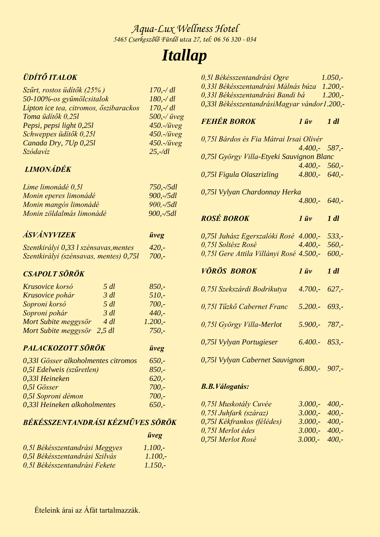## *Itallap*

### *ÜDÍTŐ ITALOK*

| Szűrt, rostos üdítők (25%)             | $170, -/ \, dl$          |
|----------------------------------------|--------------------------|
| 50-100%-os gyümölcsitalok              | $180, -/ \, dl$          |
| Lipton ice tea, citromos, őszibarackos | $170, -/ \, dl$          |
| Toma üdítők 0,251                      | $500$ ,-/ $\ddot{u}$ veg |
| Pepsi, pepsi light 0,25l               | 450.-/üveg               |
| Schweppes üdítők 0,251                 | $450. -$ /üveg           |
| Canada Dry, 7Up 0,25l                  | 450.-/üveg               |
| Szódavíz                               | $25, -/dl$               |
|                                        |                          |

### *LIMONÁDÉK*

| $750, -/5dl$ |
|--------------|
| $900, -/5dl$ |
| $900, -/5dl$ |
| $900, -/5dl$ |
|              |

## *ÁSVÁNYVIZEK üveg*

| Szentkirályi 0,33 l szénsavas, mentes  | $420, -$ |
|----------------------------------------|----------|
| Szentkirályi (szénsavas, mentes) 0,75l | $700, -$ |

### *CSAPOLT SÖRÖK*

| $5 \, dl$ | $850 -$   |
|-----------|-----------|
| $3 \, dl$ | $510. -$  |
| $5 \, dl$ | $700 -$   |
| $3 \, dl$ | $440 -$   |
| $4 \, dl$ | $1.200 -$ |
| $2.5$ dl  | $750 -$   |
|           |           |

### *PALACKOZOTT SÖRÖK üveg*

| 0,331 Gösser alkoholmentes citromos | $650 -$ |
|-------------------------------------|---------|
| 0,51 Edelweis (szűretlen)           | $850 -$ |
| 0,331 Heineken                      | $620 -$ |
| 0.51 Gösser                         | $700 -$ |
| 0,51 Soproni démon                  | $700 -$ |
| 0,331 Heineken alkoholmentes        | $650 -$ |

### *BÉKÉSSZENTANDRÁSI KÉZMŰVES SÖRÖK*

|                                | <i>üveg</i> |
|--------------------------------|-------------|
| 0,51 Békésszentandrási Meggyes | $1.100 -$   |
| 0,51 Békésszentandrási Szilvás | $1.100 -$   |
| 0.51 Békésszentandrási Fekete  | $1.150 -$   |

| 0,51 Békésszentandrási Ogre                 | $1.050 -$ |
|---------------------------------------------|-----------|
| 0,331 Békésszentandrási Málnás búza         | $1.200 -$ |
| 0,331 Békésszentandrási Bandi bá            | $1.200 -$ |
| 0,331 BékésszentandrásiMagyar vándor1.200,- |           |

### *FEHÉR BOROK 1 üv 1 dl*

| 0,751 Bárdos és Fia Mátrai Irsai Olivér       |                        |  |
|-----------------------------------------------|------------------------|--|
|                                               | $4.400 - 587$          |  |
| 0,751 György Villa-Etyeki Sauvignon Blanc     |                        |  |
|                                               | $4.400 - 560$          |  |
| 0,751 Figula Olaszrizling                     | $4.800 - 640$          |  |
| 0,751 Vylyan Chardonnay Herka                 |                        |  |
|                                               | $4.800 - 640$          |  |
| <b>ROSÉ BOROK</b>                             | $1 \dot{u}v$ $1 \, dl$ |  |
| 0,751 Juhász Egerszalóki Rosé 4.000,- 533,-   |                        |  |
| 0,751 Soltész Rosé                            | $4.400 - 560$          |  |
| 0,751 Gere Attila Villányi Rosé 4.500,- 600,- |                        |  |
| <b>VÖRÖS BOROK</b>                            | $1 \dot{u}v$ $1 \, dl$ |  |
| 0,751 Szekszárdi Bodrikutya                   | $4.700 - 627$          |  |
| 0,751 Tűzkő Cabernet Franc 5.200.- 693,-      |                        |  |
| 0,75l György Villa-Merlot                     | $5.900 - 787$          |  |
| 0,751 Vylyan Portugieser                      | $6.400 - 853,$         |  |
| 0,751 Vylyan Cabernet Sauvignon               | $6.800 - 907$          |  |
|                                               |                        |  |

### *B.B.Válogatás:*

| 0,751 Muskotály Cuvée      | $3.000 - 400 -$ |  |
|----------------------------|-----------------|--|
| 0,751 Juhfark (száraz)     | $3.000 - 400 -$ |  |
| 0,751 Kékfrankos (félédes) | $3.000 - 400 -$ |  |
| 0,751 Merlot édes          | $3.000 - 400 -$ |  |
| 0,751 Merlot Rosé          | $3.000 - 400 -$ |  |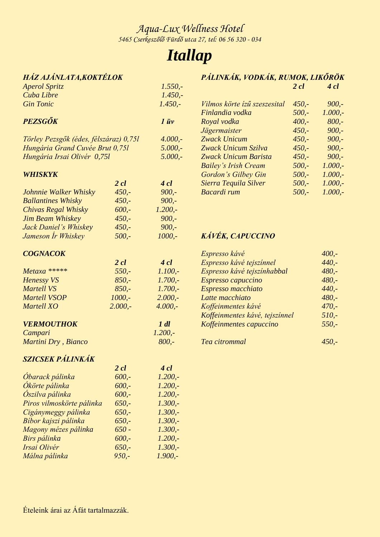## *Itallap*

### *HÁZ AJÁNLATA,KOKTÉLOK*

| Aperol Spritz                          |                  | $1.550,-$        |              |
|----------------------------------------|------------------|------------------|--------------|
| Cuba Libre                             |                  | $1.450, -$       |              |
| <b>Gin Tonic</b>                       |                  | $1.450,-$        | Vilmo        |
|                                        |                  |                  | Finla        |
| PEZSGŐK                                |                  | $1 \overline{u}$ | Roya         |
|                                        |                  |                  | Jäger        |
| Törley Pezsgők (édes, félszáraz) 0,75l |                  | $4.000,-$        | Zwac         |
| Hungária Grand Cuvée Brut 0,75l        |                  | $5.000,-$        | Zwac         |
| Hungária Irsai Olivér 0,75l            |                  | $5.000,-$        | Zwac         |
|                                        |                  |                  | <b>Baile</b> |
| <b>WHISKYK</b>                         |                  |                  | Gord         |
|                                        | $2 \, \text{cl}$ | $4$ cl           | Sierre       |
| Johnnie Walker Whisky                  | $450,-$          | $900 -$          | Baca         |
| <b>Ballantines Whisky</b>              | $450 -$          | $900 -$          |              |
| Chivas Regal Whisky                    | $600 -$          | $1.200 -$        |              |
| <b>Jim Beam Whiskey</b>                | $450,-$          | $900 -$          |              |
| Jack Daniel's Whiskey                  | $450 -$          | $900 -$          |              |
| Jameson Ír Whiskey                     | $500 -$          | $1000, -$        | <b>KÁV</b>   |
| <b>COGNACOK</b>                        |                  |                  | Espre        |

|                   | $2 \,$ cl | $4$ cl    |
|-------------------|-----------|-----------|
| Metaxa *****      | $550 -$   | 1.100.    |
| <b>Henessy VS</b> | $850 -$   | 1.700.    |
| <b>Martell VS</b> | $850 -$   | 1.700.    |
| Martell VSOP      | $1000. -$ | $2.000 -$ |
| <b>Martell XO</b> | $2.000 -$ | $4.000 -$ |
|                   |           |           |

*Campari 1.200,-*

### *VERMOUTHOK 1 dl*

| Campari             | $1.200, -$ |
|---------------------|------------|
| Martini Dry, Bianco | $800 -$    |

### *SZICSEK PÁLINKÁK*

|                           | $2 \, cl$ | $4$ cl    |
|---------------------------|-----------|-----------|
| Óbarack pálinka           | $600 -$   | $1.200 -$ |
| Ókörte pálinka            | $600 -$   | $1.200 -$ |
| <b>Oszilva</b> pálinka    | $600 -$   | $1.200 -$ |
| Piros vilmoskörte pálinka | $650. -$  | 1.300.    |
| Cigánymeggy pálinka       | $650 -$   | 1.300.    |
| Bíbor kajszi pálinka      | $650 -$   | 1.300.    |
| Magony mézes pálinka      | $650 -$   | $1.300 -$ |
| Birs pálinka              | $600 -$   | $1.200 -$ |
| Irsai Olivér              | 650.      | $1.300 -$ |
| Málna pálinka             | $950 -$   | $1.900 -$ |
|                           |           |           |

|                              | $2$ cl  | $4$ cl    |
|------------------------------|---------|-----------|
| Vilmos körte ízű szeszesital | $450 -$ | $900 -$   |
| Finlandia vodka              | $500 -$ | $1.000,-$ |
| Royal vodka                  | $400 -$ | $800 -$   |
| Jägermaister                 | $450 -$ | $900 -$   |
| Zwack Unicum                 | $450 -$ | $900 -$   |
| Zwack Unicum Szilva          | $450 -$ | $900 -$   |
| Zwack Unicum Barista         | $450 -$ | $900 -$   |
| <b>Bailey's Irish Cream</b>  | $500 -$ | $1.000,-$ |
| Gordon's Gilbey Gin          | $500 -$ | $1.000,-$ |
| Sierra Tequila Silver        | $500 -$ | $1.000,-$ |
| <b>Bacardi</b> rum           | $500 -$ | 1.000.    |

*PÁLINKÁK, VODKÁK, RUMOK, LIKŐRÖK*

### *KÁVÉK, CAPUCCINO*

| Espresso kávé                  | $400 -$  |
|--------------------------------|----------|
| Espresso kávé tejszínnel       | $440. -$ |
| Espresso kávé tejszínhabbal    | $480 -$  |
| Espresso capuccino             | $480 -$  |
| Espresso macchiato             | $440. -$ |
| Latte macchiato                | $480 -$  |
| Koffeinmentes kávé             | $470 -$  |
| Koffeinmentes kávé, tejszínnel | $510. -$ |
| Koffeinmentes capuccino        | $550 -$  |
| Tea citrommal                  | 450.     |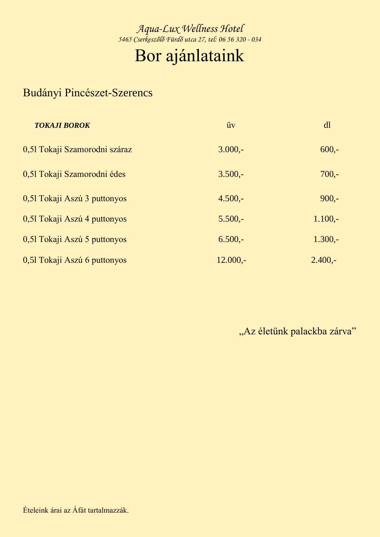## Bor ajánlataink

### Budányi Pincészet-Szerencs

| <b>TOKAJI BOROK</b>           | üv         | dl        |
|-------------------------------|------------|-----------|
| 0,51 Tokaji Szamorodni száraz | $3.000 -$  | $600 -$   |
| 0,51 Tokaji Szamorodni édes   | $3.500 -$  | $700 -$   |
| 0,51 Tokaji Aszú 3 puttonyos  | $4.500 -$  | $900 -$   |
| 0,51 Tokaji Aszú 4 puttonyos  | $5.500 -$  | $1.100,-$ |
| 0,51 Tokaji Aszú 5 puttonyos  | $6.500 -$  | $1.300 -$ |
| 0,51 Tokaji Aszú 6 puttonyos  | $12.000 -$ | $2.400 -$ |

"Az életünk palackba zárva"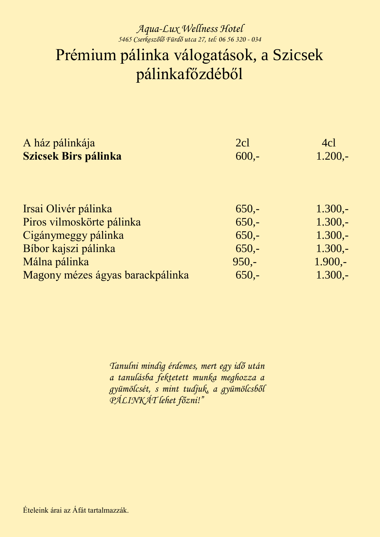### *Aqua-Lux Wellness Hotel 5465 Cserkeszőlő Fürdő utca 27, tel: 06 56 320 - 034* Prémium pálinka válogatások, a Szicsek pálinkafőzdéből

| A ház pálinkája                  | 2cl     | 4cl       |
|----------------------------------|---------|-----------|
| <b>Szicsek Birs pálinka</b>      | $600 -$ | $1.200,-$ |
|                                  |         |           |
|                                  |         |           |
| Irsai Olivér pálinka             | $650 -$ | $1.300 -$ |
| Piros vilmoskörte pálinka        | $650 -$ | $1.300 -$ |
| Cigánymeggy pálinka              | $650 -$ | $1.300,-$ |
| Bíbor kajszi pálinka             | $650 -$ | $1.300 -$ |
| Málna pálinka                    | $950 -$ | $1.900 -$ |
| Magony mézes ágyas barackpálinka | $650 -$ | $1.300 -$ |

*Tanulni mindig érdemes, mert egy idő után a tanulásba fektetett munka meghozza a gyümölcsét, s mint tudjuk, a gyümölcsből PÁLINKÁT lehet főzni!"*